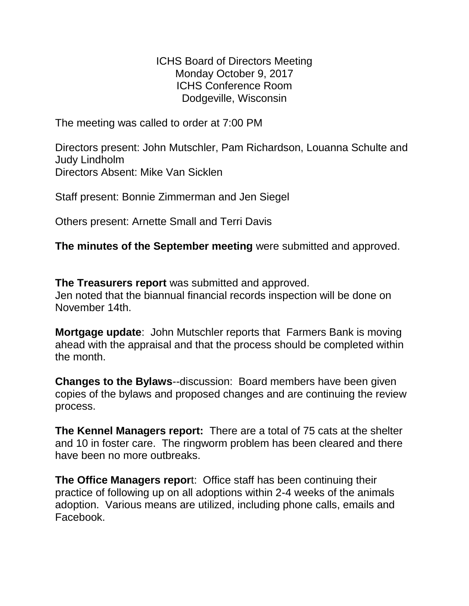ICHS Board of Directors Meeting Monday October 9, 2017 ICHS Conference Room Dodgeville, Wisconsin

The meeting was called to order at 7:00 PM

Directors present: John Mutschler, Pam Richardson, Louanna Schulte and Judy Lindholm Directors Absent: Mike Van Sicklen

Staff present: Bonnie Zimmerman and Jen Siegel

Others present: Arnette Small and Terri Davis

**The minutes of the September meeting** were submitted and approved.

**The Treasurers report** was submitted and approved. Jen noted that the biannual financial records inspection will be done on November 14th.

**Mortgage update**: John Mutschler reports that Farmers Bank is moving ahead with the appraisal and that the process should be completed within the month.

**Changes to the Bylaws**--discussion: Board members have been given copies of the bylaws and proposed changes and are continuing the review process.

**The Kennel Managers report:** There are a total of 75 cats at the shelter and 10 in foster care. The ringworm problem has been cleared and there have been no more outbreaks.

**The Office Managers repor**t: Office staff has been continuing their practice of following up on all adoptions within 2-4 weeks of the animals adoption. Various means are utilized, including phone calls, emails and Facebook.